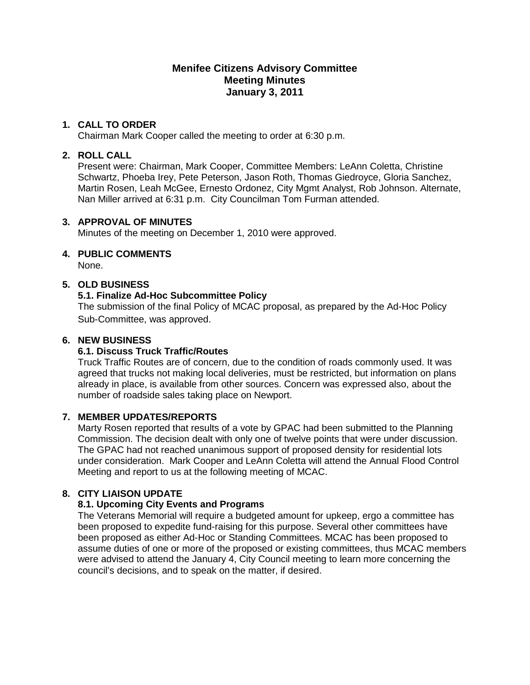# **Menifee Citizens Advisory Committee Meeting Minutes January 3, 2011**

### **1. CALL TO ORDER**

Chairman Mark Cooper called the meeting to order at 6:30 p.m.

#### **2. ROLL CALL**

Present were: Chairman, Mark Cooper, Committee Members: LeAnn Coletta, Christine Schwartz, Phoeba Irey, Pete Peterson, Jason Roth, Thomas Giedroyce, Gloria Sanchez, Martin Rosen, Leah McGee, Ernesto Ordonez, City Mgmt Analyst, Rob Johnson. Alternate, Nan Miller arrived at 6:31 p.m. City Councilman Tom Furman attended.

#### **3. APPROVAL OF MINUTES**

Minutes of the meeting on December 1, 2010 were approved.

## **4. PUBLIC COMMENTS**

None.

## **5. OLD BUSINESS**

## **5.1. Finalize Ad-Hoc Subcommittee Policy**

The submission of the final Policy of MCAC proposal, as prepared by the Ad-Hoc Policy Sub-Committee, was approved.

#### **6. NEW BUSINESS**

#### **6.1. Discuss Truck Traffic/Routes**

Truck Traffic Routes are of concern, due to the condition of roads commonly used. It was agreed that trucks not making local deliveries, must be restricted, but information on plans already in place, is available from other sources. Concern was expressed also, about the number of roadside sales taking place on Newport.

#### **7. MEMBER UPDATES/REPORTS**

Marty Rosen reported that results of a vote by GPAC had been submitted to the Planning Commission. The decision dealt with only one of twelve points that were under discussion. The GPAC had not reached unanimous support of proposed density for residential lots under consideration. Mark Cooper and LeAnn Coletta will attend the Annual Flood Control Meeting and report to us at the following meeting of MCAC.

# **8. CITY LIAISON UPDATE**

# **8.1. Upcoming City Events and Programs**

The Veterans Memorial will require a budgeted amount for upkeep, ergo a committee has been proposed to expedite fund-raising for this purpose. Several other committees have been proposed as either Ad-Hoc or Standing Committees. MCAC has been proposed to assume duties of one or more of the proposed or existing committees, thus MCAC members were advised to attend the January 4, City Council meeting to learn more concerning the council's decisions, and to speak on the matter, if desired.